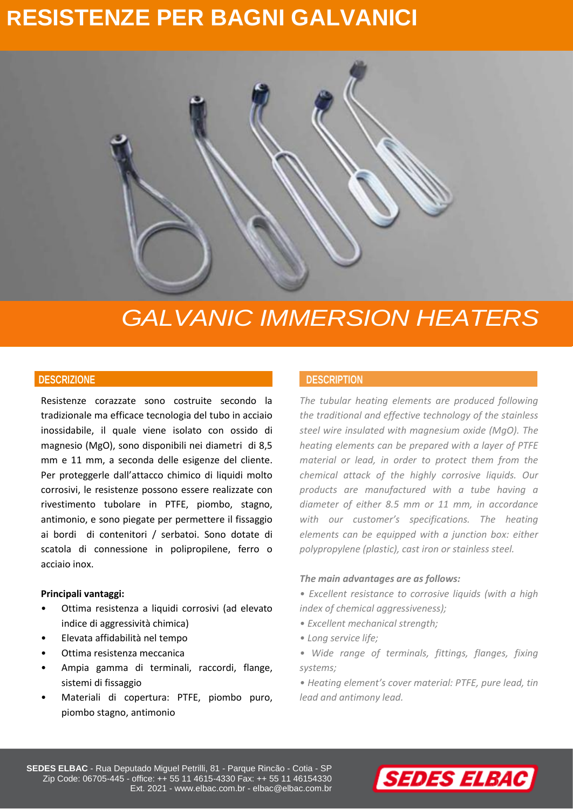# **RESISTENZE PER BAGNI GALVANICI**



# *GALVANIC IMMERSION HEATERS*

Resistenze corazzate sono costruite secondo la tradizionale ma efficace tecnologia del tubo in acciaio inossidabile, il quale viene isolato con ossido di magnesio (MgO), sono disponibili nei diametri di 8,5 mm e 11 mm, a seconda delle esigenze del cliente. Per proteggerle dall'attacco chimico di liquidi molto corrosivi, le resistenze possono essere realizzate con rivestimento tubolare in PTFE, piombo, stagno, antimonio, e sono piegate per permettere il fissaggio ai bordi di contenitori / serbatoi. Sono dotate di scatola di connessione in polipropilene, ferro o acciaio inox.

## **Principali vantaggi:**

- Ottima resistenza a liquidi corrosivi (ad elevato indice di aggressività chimica)
- Elevata affidabilità nel tempo
- Ottima resistenza meccanica
- Ampia gamma di terminali, raccordi, flange, sistemi di fissaggio
- Materiali di copertura: PTFE, piombo puro, piombo stagno, antimonio

# **DESCRIZIONE DESCRIPTION**

*The tubular heating elements are produced following the traditional and effective technology of the stainless steel wire insulated with magnesium oxide (MgO). The heating elements can be prepared with a layer of PTFE material or lead, in order to protect them from the chemical attack of the highly corrosive liquids. Our products are manufactured with a tube having a diameter of either 8.5 mm or 11 mm, in accordance with our customer's specifications. The heating elements can be equipped with a junction box: either polypropylene (plastic), cast iron or stainless steel.*

## *The main advantages are as follows:*

*• Excellent resistance to corrosive liquids (with a high index of chemical aggressiveness);*

- *Excellent mechanical strength;*
- *Long service life;*
- *Wide range of terminals, fittings, flanges, fixing systems;*
- *Heating element's cover material: PTFE, pure lead, tin lead and antimony lead.*



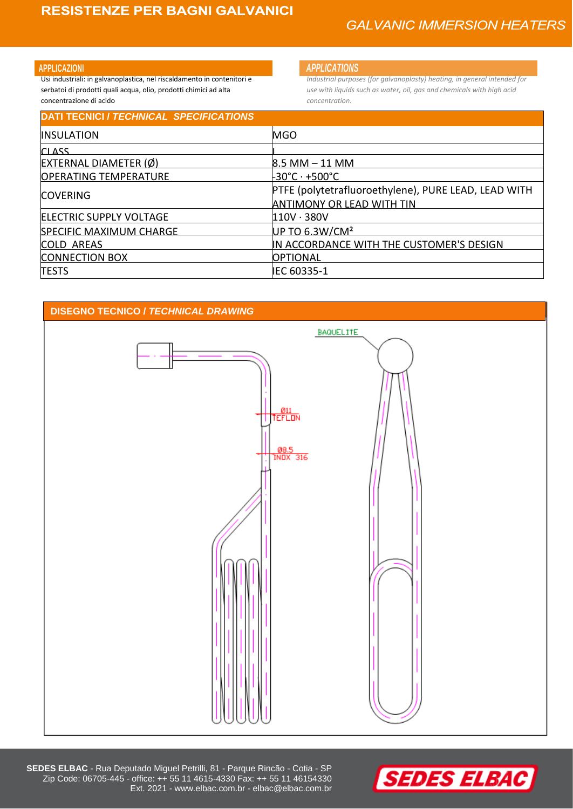Usi industriali: in galvanoplastica, nel riscaldamento in contenitori e serbatoi di prodotti quali acqua, olio, prodotti chimici ad alta concentrazione di acido

## **APPLICAZIONI** *APPLICATIONS*

*Industrial purposes (for galvanoplasty) heating, in general intended for use with liquids such as water, oil, gas and chemicals with high acid concentration.*

| <b>MGO</b>                                           |
|------------------------------------------------------|
|                                                      |
| 8.5 MM – 11 MM                                       |
| -30°C · +500°C                                       |
| PTFE (polytetrafluoroethylene), PURE LEAD, LEAD WITH |
| <b>ANTIMONY OR LEAD WITH TIN</b>                     |
| $110V \cdot 380V$                                    |
| UP TO $6.3W/CM2$                                     |
| IN ACCORDANCE WITH THE CUSTOMER'S DESIGN             |
| <b>OPTIONAL</b>                                      |
| IEC 60335-1                                          |
|                                                      |





**SEDES ELBAC** - Rua Deputado Miguel Petrilli, 81 - Parque Rincão - Cotia - SP Zip Code: 06705-445 - office: ++ 55 11 4615-4330 Fax: ++ 55 11 46154330 Ext. 2021 - www.elbac.com.br - elbac@elbac.com.br